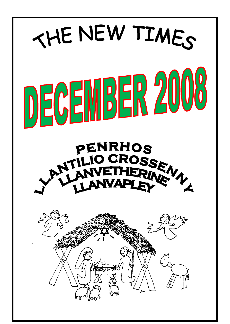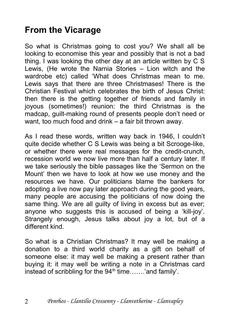## **From the Vicarage**

So what is Christmas going to cost you? We shall all be looking to economise this year and possibly that is not a bad thing. I was looking the other day at an article written by C S Lewis, (He wrote the Narnia Stories – Lion witch and the wardrobe etc) called 'What does Christmas mean to me. Lewis says that there are three Christmases! There is the Christian Festival which celebrates the birth of Jesus Christ: then there is the getting together of friends and family in joyous (sometimes!) reunion: the third Christmas is the madcap, guilt-making round of presents people don't need or want, too much food and drink – a fair bit thrown away.

As I read these words, written way back in 1946, I couldn't quite decide whether C S Lewis was being a bit Scrooge-like, or whether there were real messages for the credit-crunch, recession world we now live more than half a century later. If we take seriously the bible passages like the 'Sermon on the Mount' then we have to look at how we use money and the resources we have. Our politicians blame the bankers for adopting a live now pay later approach during the good years, many people are accusing the politicians of now doing the same thing. We are all guilty of living in excess but as ever; anyone who suggests this is accused of being a 'kill-joy'. Strangely enough, Jesus talks about joy a lot, but of a different kind.

So what is a Christian Christmas? It may well be making a donation to a third world charity as a gift on behalf of someone else: it may well be making a present rather than buying it: it may well be writing a note in a Christmas card instead of scribbling for the  $94<sup>th</sup>$  time......'and family'.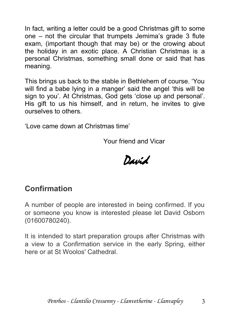In fact, writing a letter could be a good Christmas gift to some one – not the circular that trumpets Jemima's grade 3 flute exam, (important though that may be) or the crowing about the holiday in an exotic place. A Christian Christmas is a personal Christmas, something small done or said that has meaning.

This brings us back to the stable in Bethlehem of course. 'You will find a babe lying in a manger' said the angel 'this will be sign to you'. At Christmas, God gets 'close up and personal'. His gift to us his himself, and in return, he invites to give ourselves to others.

'Love came down at Christmas time'

Your friend and Vicar

# David

#### **Confirmation**

A number of people are interested in being confirmed. If you or someone you know is interested please let David Osborn (01600780240).

It is intended to start preparation groups after Christmas with a view to a Confirmation service in the early Spring, either here or at St Woolos' Cathedral.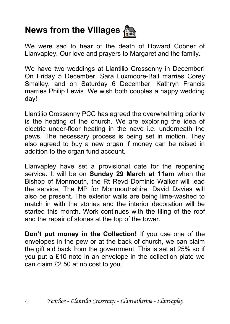# **News from the Villages** 偏

We were sad to hear of the death of Howard Cobner of Llanvapley. Our love and prayers to Margaret and the family.

We have two weddings at Llantilio Crossenny in December! On Friday 5 December, Sara Luxmoore-Ball marries Corey Smalley, and on Saturday 6 December, Kathryn Francis marries Philip Lewis. We wish both couples a happy wedding day!

Llantilio Crossenny PCC has agreed the overwhelming priority is the heating of the church. We are exploring the idea of electric under-floor heating in the nave i.e. underneath the pews. The necessary process is being set in motion. They also agreed to buy a new organ if money can be raised in addition to the organ fund account.

Llanvapley have set a provisional date for the reopening service. It will be on **Sunday 29 March at 11am** when the Bishop of Monmouth, the Rt Revd Dominic Walker will lead the service. The MP for Monmouthshire, David Davies will also be present. The exterior walls are being lime-washed to match in with the stones and the interior decoration will be started this month. Work continues with the tiling of the roof and the repair of stones at the top of the tower.

**Don't put money in the Collection!** If you use one of the envelopes in the pew or at the back of church, we can claim the gift aid back from the government. This is set at 25% so if you put a £10 note in an envelope in the collection plate we can claim £2.50 at no cost to you.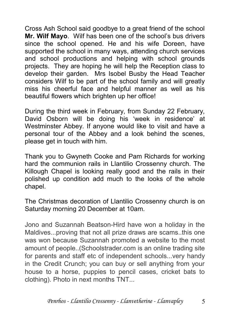Cross Ash School said goodbye to a great friend of the school **Mr. Wilf Mayo**. Wilf has been one of the school's bus drivers since the school opened. He and his wife Doreen, have supported the school in many ways, attending church services and school productions and helping with school grounds projects. They are hoping he will help the Reception class to develop their garden. Mrs Isobel Busby the Head Teacher considers Wilf to be part of the school family and will greatly miss his cheerful face and helpful manner as well as his beautiful flowers which brighten up her office!

During the third week in February, from Sunday 22 February, David Osborn will be doing his 'week in residence' at Westminster Abbey. If anyone would like to visit and have a personal tour of the Abbey and a look behind the scenes, please get in touch with him.

Thank you to Gwyneth Cooke and Pam Richards for working hard the communion rails in Llantilio Crossenny church. The Killough Chapel is looking really good and the rails in their polished up condition add much to the looks of the whole chapel.

The Christmas decoration of Llantilio Crossenny church is on Saturday morning 20 December at 10am.

Jono and Suzannah Beatson-Hird have won a holiday in the Maldives...proving that not all prize draws are scams..this one was won because Suzannah promoted a website to the most amount of people..(Schoolstrader.com is an online trading site for parents and staff etc of independent schools...very handy in the Credit Crunch; you can buy or sell anything from your house to a horse, puppies to pencil cases, cricket bats to clothing). Photo in next months TNT...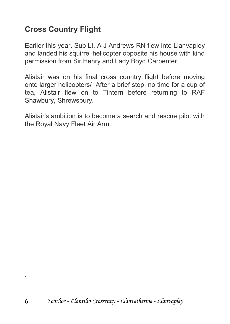#### **Cross Country Flight**

Earlier this year. Sub Lt. A J Andrews RN flew into Llanvapley and landed his squirrel helicopter opposite his house with kind permission from Sir Henry and Lady Boyd Carpenter.

Alistair was on his final cross country flight before moving onto larger helicopters/ After a brief stop, no time for a cup of tea, Alistair flew on to Tintern before returning to RAF Shawbury, Shrewsbury.

Alistair's ambition is to become a search and rescue pilot with the Royal Navy Fleet Air Arm.

.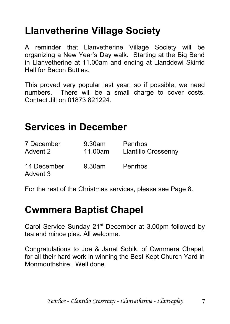# **Llanvetherine Village Society**

A reminder that Llanvetherine Village Society will be organizing a New Year's Day walk. Starting at the Big Bend in Llanvetherine at 11.00am and ending at Llanddewi Skirrid Hall for Bacon Butties.

This proved very popular last year, so if possible, we need numbers. There will be a small charge to cover costs. Contact Jill on 01873 821224.

## **Services in December**

| 7 December              | 9.30am  | Penrhos                    |
|-------------------------|---------|----------------------------|
| Advent 2                | 11.00am | <b>Llantilio Crossenny</b> |
| 14 December<br>Advent 3 | 9.30am  | Penrhos                    |

For the rest of the Christmas services, please see Page 8.

## **Cwmmera Baptist Chapel**

Carol Service Sunday 21<sup>st</sup> December at 3.00pm followed by tea and mince pies. All welcome.

Congratulations to Joe & Janet Sobik, of Cwmmera Chapel, for all their hard work in winning the Best Kept Church Yard in Monmouthshire. Well done.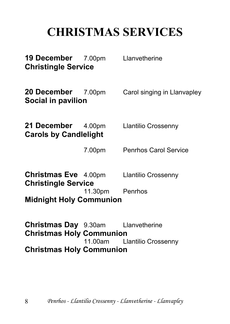# **CHRISTMAS SERVICES**

| <b>19 December</b> 7.00pm<br><b>Christingle Service</b> |                 | Llanvetherine                                   |  |  |
|---------------------------------------------------------|-----------------|-------------------------------------------------|--|--|
| <b>20 December</b> 7.00pm<br>Social in pavilion         |                 | Carol singing in Llanvapley                     |  |  |
| 21 December 4.00pm<br><b>Carols by Candlelight</b>      |                 | <b>Llantilio Crossenny</b>                      |  |  |
|                                                         | 7.00pm          | <b>Penrhos Carol Service</b>                    |  |  |
|                                                         |                 |                                                 |  |  |
|                                                         |                 | <b>Christmas Eve</b> 4.00pm Llantilio Crossenny |  |  |
| <b>Christingle Service</b>                              |                 |                                                 |  |  |
|                                                         | 11.30pm Penrhos |                                                 |  |  |
| <b>Midnight Holy Communion</b>                          |                 |                                                 |  |  |
|                                                         |                 |                                                 |  |  |
| <b>Christmas Day</b> 9.30am Llanvetherine               |                 |                                                 |  |  |
| <b>Christmas Holy Communion</b>                         |                 |                                                 |  |  |
|                                                         | 11.00am         | <b>Llantilio Crossenny</b>                      |  |  |

**Christmas Holy Communion**

8 *Penrhos - Llantilio Crossenny - Llanvetherine - Llanvapley*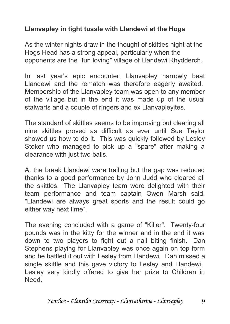#### **Llanvapley in tight tussle with Llandewi at the Hogs**

As the winter nights draw in the thought of skittles night at the Hogs Head has a strong appeal, particularly when the opponents are the "fun loving" village of Llandewi Rhydderch.

In last year's epic encounter, Llanvapley narrowly beat Llandewi and the rematch was therefore eagerly awaited. Membership of the Llanvapley team was open to any member of the village but in the end it was made up of the usual stalwarts and a couple of ringers and ex Llanvapleyites.

The standard of skittles seems to be improving but clearing all nine skittles proved as difficult as ever until Sue Taylor showed us how to do it. This was quickly followed by Lesley Stoker who managed to pick up a "spare" after making a clearance with just two balls.

At the break Llandewi were trailing but the gap was reduced thanks to a good performance by John Judd who cleared all the skittles. The Llanvapley team were delighted with their team performance and team captain Owen Marsh said, "Llandewi are always great sports and the result could go either way next time".

The evening concluded with a game of "Killer". Twenty-four pounds was in the kitty for the winner and in the end it was down to two players to fight out a nail biting finish. Dan Stephens playing for Llanvapley was once again on top form and he battled it out with Lesley from Llandewi. Dan missed a single skittle and this gave victory to Lesley and Llandewi. Lesley very kindly offered to give her prize to Children in **Need.**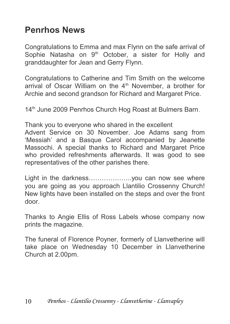## **Penrhos News**

Congratulations to Emma and max Flynn on the safe arrival of Sophie Natasha on  $9<sup>th</sup>$  October, a sister for Holly and granddaughter for Jean and Gerry Flynn.

Congratulations to Catherine and Tim Smith on the welcome arrival of Oscar William on the  $4<sup>th</sup>$  November, a brother for Archie and second grandson for Richard and Margaret Price.

14<sup>th</sup> June 2009 Penrhos Church Hog Roast at Bulmers Barn.

Thank you to everyone who shared in the excellent Advent Service on 30 November. Joe Adams sang from 'Messiah' and a Basque Carol accompanied by Jeanette Massochi. A special thanks to Richard and Margaret Price who provided refreshments afterwards. It was good to see representatives of the other parishes there.

Light in the darkness………………..you can now see where you are going as you approach Llantilio Crossenny Church! New lights have been installed on the steps and over the front door.

Thanks to Angie Ellis of Ross Labels whose company now prints the magazine.

The funeral of Florence Poyner, formerly of Llanvetherine will take place on Wednesday 10 December in Llanvetherine Church at 2.00pm.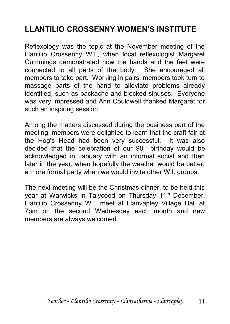#### **LLANTILIO CROSSENNY WOMEN'S INSTITUTE**

Reflexology was the topic at the November meeting of the Llantilio Crossenny W.I., when local reflexologist Margaret Cummings demonstrated how the hands and the feet were connected to all parts of the body. She encouraged all members to take part. Working in pairs, members took turn to massage parts of the hand to alleviate problems already identified, such as backache and blocked sinuses. Everyone was very impressed and Ann Couldwell thanked Margaret for such an inspiring session.

Among the matters discussed during the business part of the meeting, members were delighted to learn that the craft fair at the Hog's Head had been very successful. It was also decided that the celebration of our  $90<sup>th</sup>$  birthday would be acknowledged in January with an informal social and then later in the year, when hopefully the weather would be better, a more formal party when we would invite other W.I. groups.

The next meeting will be the Christmas dinner, to be held this year at Warwicks in Talycoed on Thursday 11<sup>th</sup> December. Llantilio Crossenny W.I. meet at Llanvapley Village Hall at 7pm on the second Wednesday each month and new members are always welcomed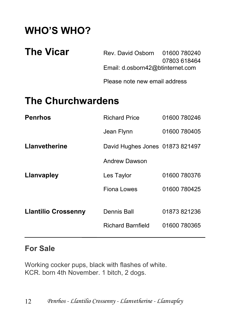# **WHO'S WHO?**

| <b>The Vicar</b>         | Rev. David Osborn 01600 780240   |              |  |  |  |
|--------------------------|----------------------------------|--------------|--|--|--|
|                          | Email: d.osborn42@btinternet.com | 07803 618464 |  |  |  |
|                          | Please note new email address    |              |  |  |  |
| <b>The Churchwardens</b> |                                  |              |  |  |  |
| <b>Penrhos</b>           | <b>Richard Price</b>             | 01600 780246 |  |  |  |

| . טווויט                   | טטווי ושושוויטו                 | 0 1 0 0 0 1 0 0 <del>1</del> 0 0 |
|----------------------------|---------------------------------|----------------------------------|
|                            | Jean Flynn                      | 01600 780405                     |
| <b>Llanvetherine</b>       | David Hughes Jones 01873 821497 |                                  |
|                            | Andrew Dawson                   |                                  |
| Llanvapley                 | Les Taylor                      | 01600 780376                     |
|                            | <b>Fiona Lowes</b>              | 01600 780425                     |
|                            |                                 |                                  |
| <b>Llantilio Crossenny</b> | <b>Dennis Ball</b>              | 01873 821236                     |
|                            | <b>Richard Barnfield</b>        | 01600 780365                     |
|                            |                                 |                                  |

#### **For Sale**

Ι

Working cocker pups, black with flashes of white. KCR. born 4th November. 1 bitch, 2 dogs.

12 *Penrhos - Llantilio Crossenny - Llanvetherine - Llanvapley*